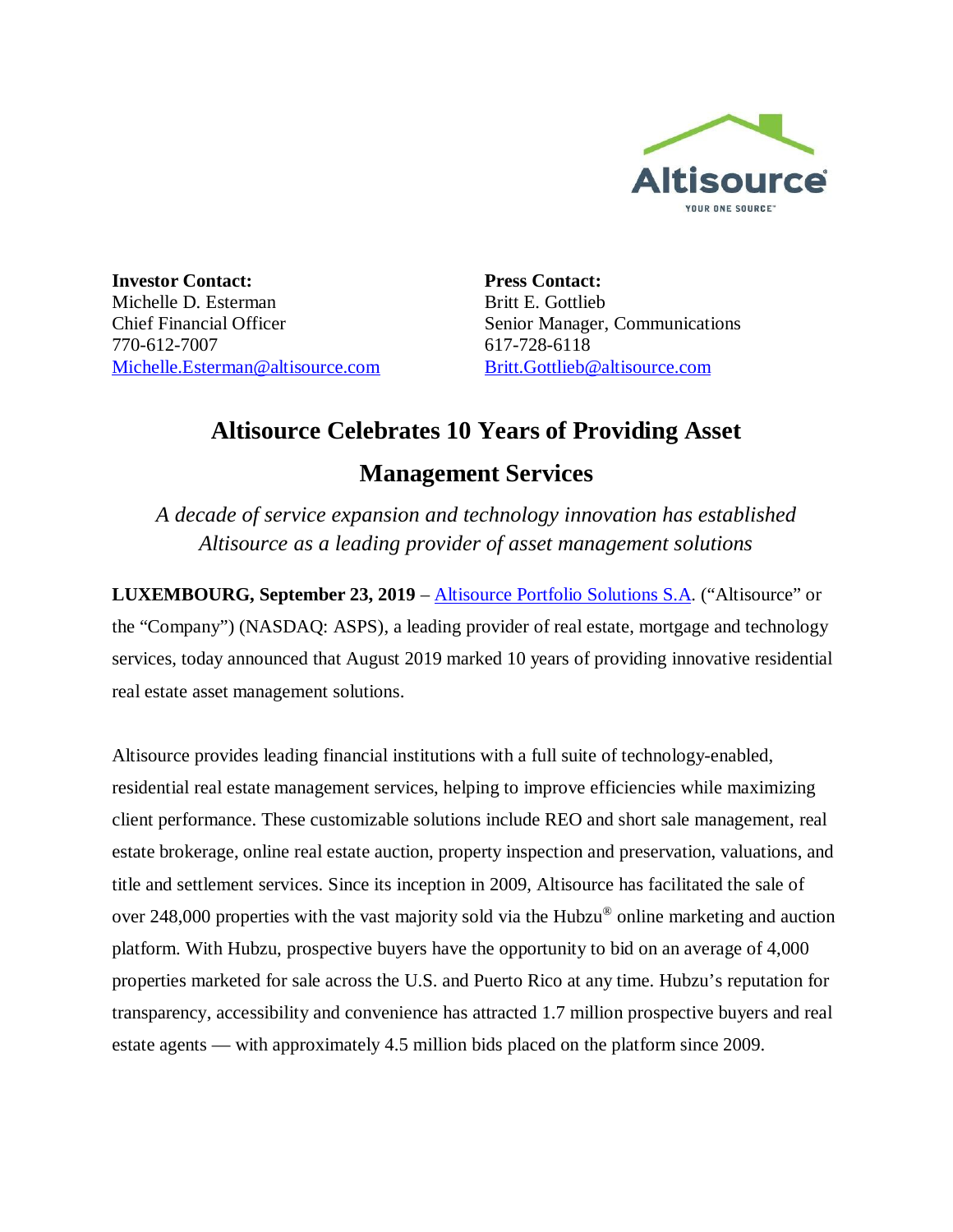

**Investor Contact:** Michelle D. Esterman Chief Financial Officer 770-612-7007 Michelle.Esterman@altisource.com **Press Contact:** Britt E. Gottlieb Senior Manager, Communications 617-728-6118 Britt.Gottlieb@altisource.com

## **Altisource Celebrates 10 Years of Providing Asset**

## **Management Services**

*A decade of service expansion and technology innovation has established Altisource as a leading provider of asset management solutions*

**LUXEMBOURG, September 23, 2019** – Altisource Portfolio Solutions S.A. ("Altisource" or the "Company") (NASDAQ: ASPS), a leading provider of real estate, mortgage and technology services, today announced that August 2019 marked 10 years of providing innovative residential real estate asset management solutions.

Altisource provides leading financial institutions with a full suite of technology-enabled, residential real estate management services, helping to improve efficiencies while maximizing client performance. These customizable solutions include REO and short sale management, real estate brokerage, online real estate auction, property inspection and preservation, valuations, and title and settlement services. Since its inception in 2009, Altisource has facilitated the sale of over 248,000 properties with the vast majority sold via the Hubzu® online marketing and auction platform. With Hubzu, prospective buyers have the opportunity to bid on an average of 4,000 properties marketed for sale across the U.S. and Puerto Rico at any time. Hubzu's reputation for transparency, accessibility and convenience has attracted 1.7 million prospective buyers and real estate agents — with approximately 4.5 million bids placed on the platform since 2009.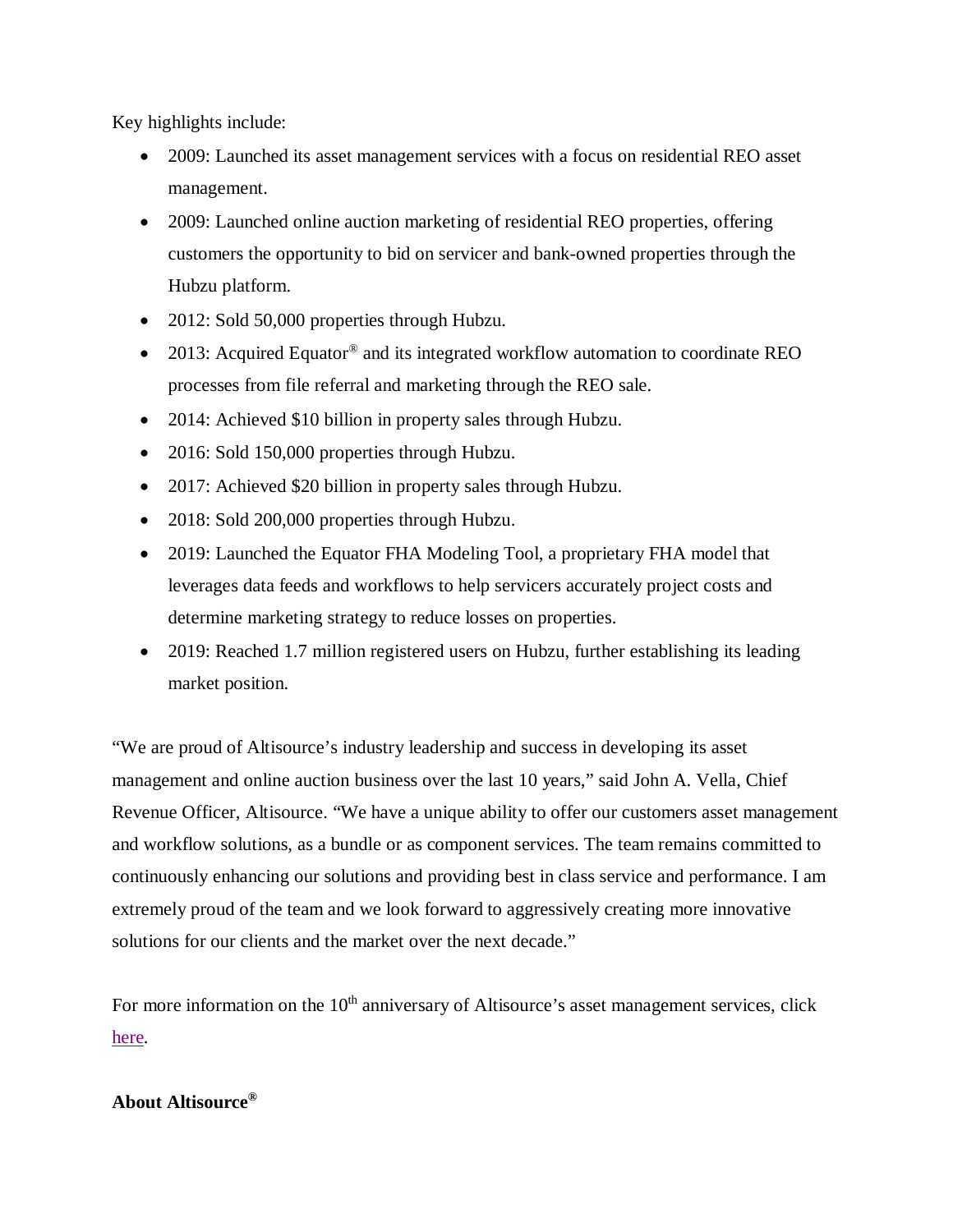Key highlights include:

- 2009: Launched its asset management services with a focus on residential REO asset management.
- · 2009: Launched online auction marketing of residential REO properties, offering customers the opportunity to bid on servicer and bank-owned properties through the Hubzu platform.
- 2012: Sold 50,000 properties through Hubzu.
- 2013: Acquired Equator® and its integrated workflow automation to coordinate REO processes from file referral and marketing through the REO sale.
- 2014: Achieved \$10 billion in property sales through Hubzu.
- 2016: Sold 150,000 properties through Hubzu.
- 2017: Achieved \$20 billion in property sales through Hubzu.
- 2018: Sold 200,000 properties through Hubzu.
- 2019: Launched the Equator FHA Modeling Tool, a proprietary FHA model that leverages data feeds and workflows to help servicers accurately project costs and determine marketing strategy to reduce losses on properties.
- 2019: Reached 1.7 million registered users on Hubzu, further establishing its leading market position.

"We are proud of Altisource's industry leadership and success in developing its asset management and online auction business over the last 10 years," said John A. Vella, Chief Revenue Officer, Altisource. "We have a unique ability to offer our customers asset management and workflow solutions, as a bundle or as component services. The team remains committed to continuously enhancing our solutions and providing best in class service and performance. I am extremely proud of the team and we look forward to aggressively creating more innovative solutions for our clients and the market over the next decade."

For more information on the  $10<sup>th</sup>$  anniversary of Altisource's asset management services, click here.

## **About Altisource®**